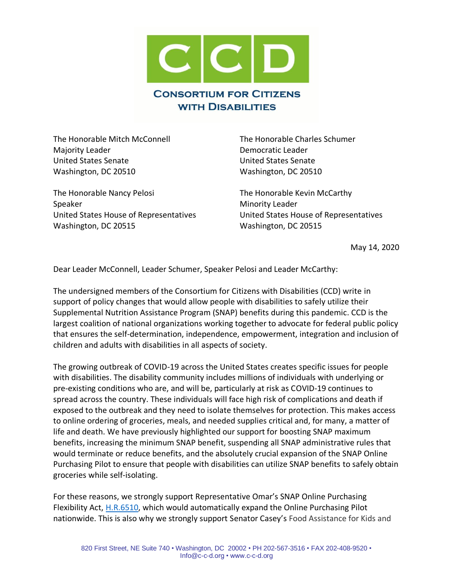

The Honorable Mitch McConnell The Honorable Charles Schumer Majority Leader **Democratic Leader Democratic Leader** United States Senate United States Senate Washington, DC 20510 Washington, DC 20510

The Honorable Nancy Pelosi The Honorable Kevin McCarthy Speaker Minority Leader United States House of Representatives United States House of Representatives Washington, DC 20515 Washington, DC 20515

May 14, 2020

Dear Leader McConnell, Leader Schumer, Speaker Pelosi and Leader McCarthy:

The undersigned members of the Consortium for Citizens with Disabilities (CCD) write in support of policy changes that would allow people with disabilities to safely utilize their Supplemental Nutrition Assistance Program (SNAP) benefits during this pandemic. CCD is the largest coalition of national organizations working together to advocate for federal public policy that ensures the self-determination, independence, empowerment, integration and inclusion of children and adults with disabilities in all aspects of society.

The growing outbreak of COVID-19 across the United States creates specific issues for people with disabilities. The disability community includes millions of individuals with underlying or pre-existing conditions who are, and will be, particularly at risk as COVID-19 continues to spread across the country. These individuals will face high risk of complications and death if exposed to the outbreak and they need to isolate themselves for protection. This makes access to online ordering of groceries, meals, and needed supplies critical and, for many, a matter of life and death. We have previously highlighted our support for boosting SNAP maximum benefits, increasing the minimum SNAP benefit, suspending all SNAP administrative rules that would terminate or reduce benefits, and the absolutely crucial expansion of the SNAP Online Purchasing Pilot to ensure that people with disabilities can utilize SNAP benefits to safely obtain groceries while self-isolating.

For these reasons, we strongly support Representative Omar's SNAP Online Purchasing Flexibility Act, [H.R.6510,](https://www.congress.gov/bill/116th-congress/house-bill/6510?s=1&r=5) which would automatically expand the Online Purchasing Pilot nationwide. This is also why we strongly support Senator Casey's Food Assistance for Kids and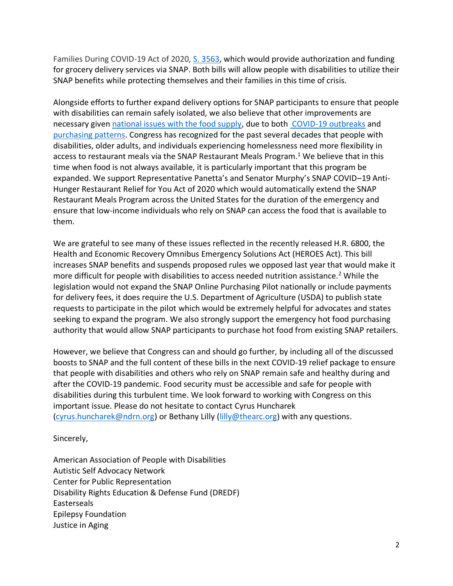Families During COVID-19 Act of 2020, [S. 3563,](https://www.congress.gov/bill/116th-congress/senate-bill/3563/text?r=5&s=1) which would provide authorization and funding for grocery delivery services via SNAP. Both bills will allow people with disabilities to utilize their SNAP benefits while protecting themselves and their families in this time of crisis.

Alongside efforts to further expand delivery options for SNAP participants to ensure that people with disabilities can remain safely isolated, we also believe that other improvements are necessary give[n national issues with the food supply,](https://www.wwltv.com/article/news/health/coronavirus/louisiana-wants-to-allow-snap-benefits-to-buy-hot-meals-at-restaurants/289-7465c6a7-29c5-4227-a2ae-4fce86cd60ba) due to both [COVID-19 outbreaks](https://www.bloomberg.com/news/features/2020-05-07/coronavirus-closes-meat-plants-threatens-food-supply) and [purchasing patterns.](https://www.nytimes.com/2020/03/15/business/coronavirus-food-shortages.html) Congress has recognized for the past several decades that people with disabilities, older adults, and individuals experiencing homelessness need more flexibility in access to restaurant meals via the SNAP Restaurant Meals Program. <sup>1</sup> We believe that in this time when food is not always available, it is particularly important that this program be expanded. We support Representative Panetta's and Senator Murphy's SNAP COVID–19 Anti-Hunger Restaurant Relief for You Act of 2020 which would automatically extend the SNAP Restaurant Meals Program across the United States for the duration of the emergency and ensure that low-income individuals who rely on SNAP can access the food that is available to them.

We are grateful to see many of these issues reflected in the recently released H.R. 6800, the Health and Economic Recovery Omnibus Emergency Solutions Act (HEROES Act). This bill increases SNAP benefits and suspends proposed rules we opposed last year that would make it more difficult for people with disabilities to access needed nutrition assistance.<sup>2</sup> While the legislation would not expand the SNAP Online Purchasing Pilot nationally or include payments for delivery fees, it does require the U.S. Department of Agriculture (USDA) to publish state requests to participate in the pilot which would be extremely helpful for advocates and states seeking to expand the program. We also strongly support the emergency hot food purchasing authority that would allow SNAP participants to purchase hot food from existing SNAP retailers.

However, we believe that Congress can and should go further, by including all of the discussed boosts to SNAP and the full content of these bills in the next COVID-19 relief package to ensure that people with disabilities and others who rely on SNAP remain safe and healthy during and after the COVID-19 pandemic. Food security must be accessible and safe for people with disabilities during this turbulent time. We look forward to working with Congress on this important issue. Please do not hesitate to contact Cyrus Huncharek [\(cyrus.huncharek@ndrn.org\)](mailto:cyrus.huncharek@ndrn.org) or Bethany Lilly [\(lilly@thearc.org\)](mailto:lilly@thearc.org) with any questions.

Sincerely,

American Association of People with Disabilities Autistic Self Advocacy Network Center for Public Representation Disability Rights Education & Defense Fund (DREDF) Easterseals Epilepsy Foundation Justice in Aging